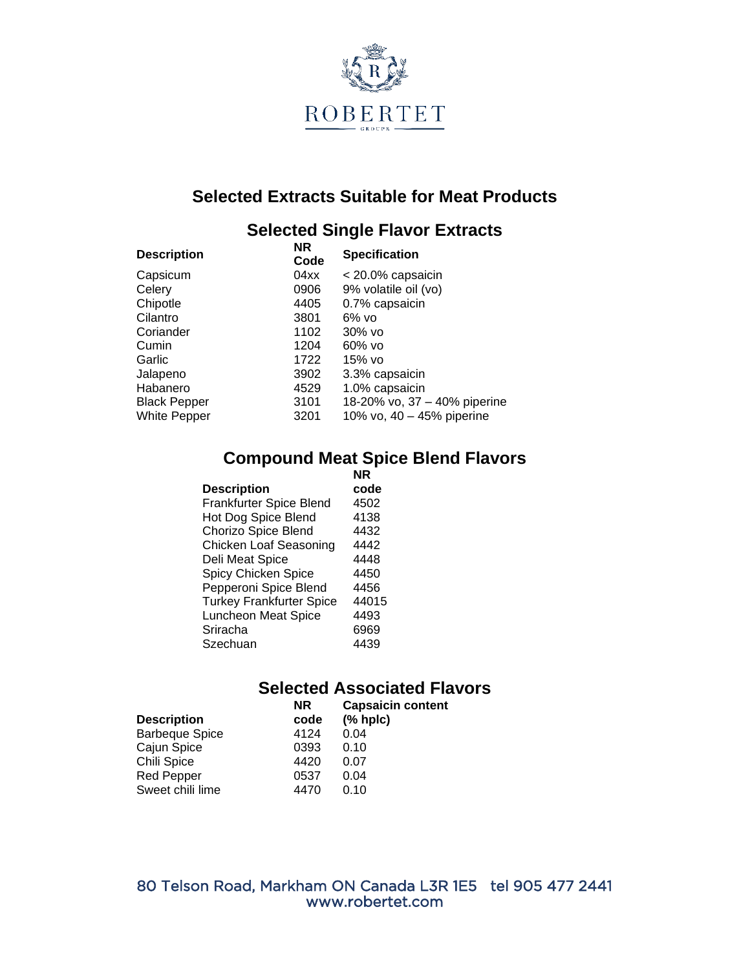

## **Selected Extracts Suitable for Meat Products**

#### **Selected Single Flavor Extracts**

| <b>Description</b>  | <b>NR</b><br>Code | <b>Specification</b>         |
|---------------------|-------------------|------------------------------|
| Capsicum            | 04xx              | < 20.0% capsaicin            |
| Celery              | 0906              | 9% volatile oil (vo)         |
| Chipotle            | 4405              | 0.7% capsaicin               |
| Cilantro            | 3801              | $6\%$ vo                     |
| Coriander           | 1102              | 30% vo                       |
| Cumin               | 1204              | $60\%$ vo                    |
| Garlic              | 1722              | 15% vo                       |
| Jalapeno            | 3902              | 3.3% capsaicin               |
| Habanero            | 4529              | 1.0% capsaicin               |
| <b>Black Pepper</b> | 3101              | 18-20% vo, 37 - 40% piperine |
| <b>White Pepper</b> | 3201              | 10% vo, 40 - 45% piperine    |
|                     |                   |                              |

#### **Compound Meat Spice Blend Flavors**

|                                 | <b>NR</b> |
|---------------------------------|-----------|
| <b>Description</b>              | code      |
| Frankfurter Spice Blend         | 4502      |
| Hot Dog Spice Blend             | 4138      |
| Chorizo Spice Blend             | 4432      |
| <b>Chicken Loaf Seasoning</b>   | 4442      |
| Deli Meat Spice                 | 4448      |
| Spicy Chicken Spice             | 4450      |
| Pepperoni Spice Blend           | 4456      |
| <b>Turkey Frankfurter Spice</b> | 44015     |
| <b>Luncheon Meat Spice</b>      | 4493      |
| Sriracha                        | 6969      |
| Szechuan                        | 4439      |

## **Selected Associated Flavors**

| <b>NR</b><br>code | <b>Capsaicin content</b><br>(% hpc) |
|-------------------|-------------------------------------|
| 4124              | 0.04                                |
| 0393              | 0.10                                |
| 4420              | 0.07                                |
| 0537              | 0.04                                |
| 4470              | 0.10                                |
|                   |                                     |

80 Telson Road, Markham ON Canada L3R 1E5 tel 905 477 2441 www.robertet.com